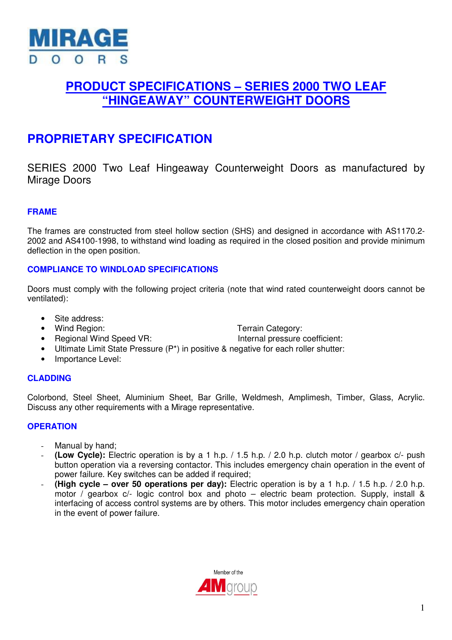

## **PRODUCT SPECIFICATIONS – SERIES 2000 TWO LEAF "HINGEAWAY" COUNTERWEIGHT DOORS**

# **PROPRIETARY SPECIFICATION**

SERIES 2000 Two Leaf Hingeaway Counterweight Doors as manufactured by Mirage Doors

## **FRAME**

The frames are constructed from steel hollow section (SHS) and designed in accordance with AS1170.2- 2002 and AS4100-1998, to withstand wind loading as required in the closed position and provide minimum deflection in the open position.

## **COMPLIANCE TO WINDLOAD SPECIFICATIONS**

Doors must comply with the following project criteria (note that wind rated counterweight doors cannot be ventilated):

- Site address:
- Wind Region: Terrain Category:
- 

• Regional Wind Speed VR: Internal pressure coefficient:

- Ultimate Limit State Pressure (P\*) in positive & negative for each roller shutter:
- Importance Level:

## **CLADDING**

Colorbond, Steel Sheet, Aluminium Sheet, Bar Grille, Weldmesh, Amplimesh, Timber, Glass, Acrylic. Discuss any other requirements with a Mirage representative.

#### **OPERATION**

- Manual by hand:
- **(Low Cycle):** Electric operation is by a 1 h.p. / 1.5 h.p. / 2.0 h.p. clutch motor / gearbox c/- push button operation via a reversing contactor. This includes emergency chain operation in the event of power failure. Key switches can be added if required;
- **(High cycle over 50 operations per day):** Electric operation is by a 1 h.p. / 1.5 h.p. / 2.0 h.p. motor / gearbox c/- logic control box and photo – electric beam protection. Supply, install & interfacing of access control systems are by others. This motor includes emergency chain operation in the event of power failure.